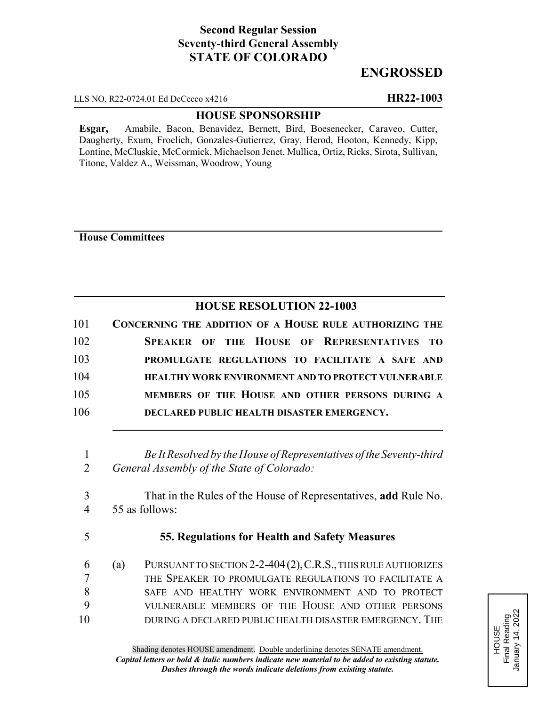# **Second Regular Session Seventy-third General Assembly STATE OF COLORADO**

## **ENGROSSED**

LLS NO. R22-0724.01 Ed DeCecco x4216 **HR22-1003**

### **HOUSE SPONSORSHIP**

**Esgar,** Amabile, Bacon, Benavidez, Bernett, Bird, Boesenecker, Caraveo, Cutter, Daugherty, Exum, Froelich, Gonzales-Gutierrez, Gray, Herod, Hooton, Kennedy, Kipp, Lontine, McCluskie, McCormick, Michaelson Jenet, Mullica, Ortiz, Ricks, Sirota, Sullivan, Titone, Valdez A., Weissman, Woodrow, Young

**House Committees**

### **HOUSE RESOLUTION 22-1003**

| 101 | CONCERNING THE ADDITION OF A HOUSE RULE AUTHORIZING THE |
|-----|---------------------------------------------------------|
| 102 | <b>SPEAKER OF THE HOUSE OF REPRESENTATIVES TO</b>       |
| 103 | PROMULGATE REGULATIONS TO FACILITATE A SAFE AND         |
| 104 | HEALTHY WORK ENVIRONMENT AND TO PROTECT VULNERABLE      |
| 105 | MEMBERS OF THE HOUSE AND OTHER PERSONS DURING A         |
| 106 | DECLARED PUBLIC HEALTH DISASTER EMERGENCY.              |

1 *Be It Resolved by the House of Representatives of the Seventy-third* 2 *General Assembly of the State of Colorado:*

3 That in the Rules of the House of Representatives, **add** Rule No. 4 55 as follows:

5 **55. Regulations for Health and Safety Measures**

 (a) PURSUANT TO SECTION 2-2-404(2),C.R.S., THIS RULE AUTHORIZES THE SPEAKER TO PROMULGATE REGULATIONS TO FACILITATE A SAFE AND HEALTHY WORK ENVIRONMENT AND TO PROTECT VULNERABLE MEMBERS OF THE HOUSE AND OTHER PERSONS DURING A DECLARED PUBLIC HEALTH DISASTER EMERGENCY. THE